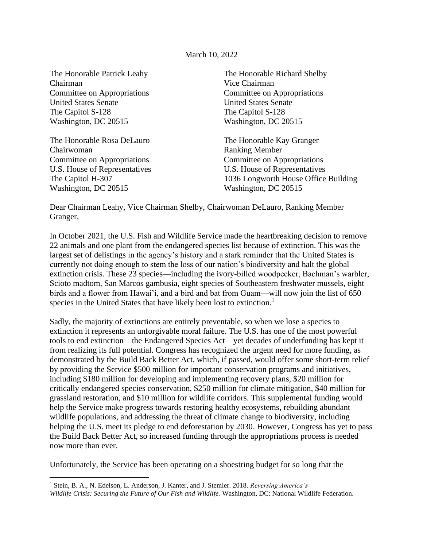#### March 10, 2022

Chairman Vice Chairman Committee on Appropriations Committee on Appropriations United States Senate United States Senate The Capitol S-128 The Capitol S-128 Washington, DC 20515 Washington, DC 20515

The Honorable Rosa DeLauro The Honorable Kay Granger Chairwoman Ranking Member Committee on Appropriations Committee on Appropriations U.S. House of Representatives U.S. House of Representatives Washington, DC 20515 Washington, DC 20515

The Honorable Patrick Leahy The Honorable Richard Shelby

The Capitol H-307 1036 Longworth House Office Building

Dear Chairman Leahy, Vice Chairman Shelby, Chairwoman DeLauro, Ranking Member Granger,

In October 2021, the U.S. Fish and Wildlife Service made the heartbreaking decision to remove 22 animals and one plant from the endangered species list because of extinction. This was the largest set of delistings in the agency's history and a stark reminder that the United States is currently not doing enough to stem the loss of our nation's biodiversity and halt the global extinction crisis. These 23 species—including the ivory-billed woodpecker, Bachman's warbler, Scioto madtom, San Marcos gambusia, eight species of Southeastern freshwater mussels, eight birds and a flower from Hawai'i, and a bird and bat from Guam—will now join the list of 650 species in the United States that have likely been lost to extinction.<sup>1</sup>

Sadly, the majority of extinctions are entirely preventable, so when we lose a species to extinction it represents an unforgivable moral failure. The U.S. has one of the most powerful tools to end extinction—the Endangered Species Act—yet decades of underfunding has kept it from realizing its full potential. Congress has recognized the urgent need for more funding, as demonstrated by the Build Back Better Act, which, if passed, would offer some short-term relief by providing the Service \$500 million for important conservation programs and initiatives, including \$180 million for developing and implementing recovery plans, \$20 million for critically endangered species conservation, \$250 million for climate mitigation, \$40 million for grassland restoration, and \$10 million for wildlife corridors. This supplemental funding would help the Service make progress towards restoring healthy ecosystems, rebuilding abundant wildlife populations, and addressing the threat of climate change to biodiversity, including helping the U.S. meet its pledge to end deforestation by 2030. However, Congress has yet to pass the Build Back Better Act, so increased funding through the appropriations process is needed now more than ever.

Unfortunately, the Service has been operating on a shoestring budget for so long that the

<sup>1</sup> Stein, B. A., N. Edelson, L. Anderson, J. Kanter, and J. Stemler. 2018. *Reversing America's Wildlife Crisis: Securing the Future of Our Fish and Wildlife.* Washington, DC: National Wildlife Federation.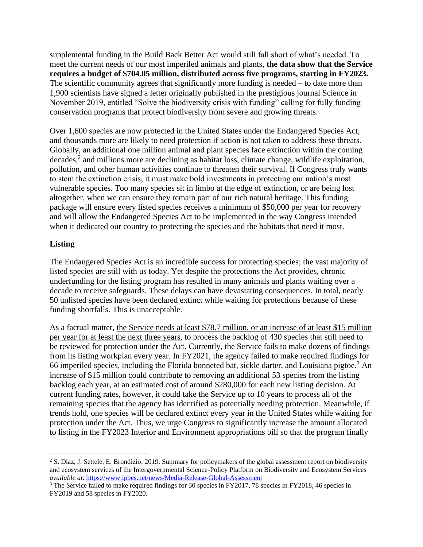supplemental funding in the Build Back Better Act would still fall short of what's needed. To meet the current needs of our most imperiled animals and plants, **the data show that the Service requires a budget of \$704.05 million, distributed across five programs, starting in FY2023.** The scientific community agrees that significantly more funding is needed – to date more than 1,900 scientists have signed a letter originally published in the prestigious journal Science in November 2019, entitled "Solve the biodiversity crisis with funding" calling for fully funding conservation programs that protect biodiversity from severe and growing threats.

Over 1,600 species are now protected in the United States under the Endangered Species Act, and thousands more are likely to need protection if action is not taken to address these threats. Globally, an additional one million animal and plant species face extinction within the coming decades, $<sup>2</sup>$  and millions more are declining as habitat loss, climate change, wildlife exploitation,</sup> pollution, and other human activities continue to threaten their survival. If Congress truly wants to stem the extinction crisis, it must make bold investments in protecting our nation's most vulnerable species. Too many species sit in limbo at the edge of extinction, or are being lost altogether, when we can ensure they remain part of our rich natural heritage. This funding package will ensure every listed species receives a minimum of \$50,000 per year for recovery and will allow the Endangered Species Act to be implemented in the way Congress intended when it dedicated our country to protecting the species and the habitats that need it most.

# **Listing**

The Endangered Species Act is an incredible success for protecting species; the vast majority of listed species are still with us today. Yet despite the protections the Act provides, chronic underfunding for the listing program has resulted in many animals and plants waiting over a decade to receive safeguards. These delays can have devastating consequences. In total, nearly 50 unlisted species have been declared extinct while waiting for protections because of these funding shortfalls. This is unacceptable.

As a factual matter, the Service needs at least \$78.7 million, or an increase of at least \$15 million per year for at least the next three years, to process the backlog of 430 species that still need to be reviewed for protection under the Act. Currently, the Service fails to make dozens of findings from its listing workplan every year. In FY2021, the agency failed to make required findings for 66 imperiled species, including the Florida bonneted bat, sickle darter, and Louisiana pigtoe.<sup>3</sup> An increase of \$15 million could contribute to removing an additional 53 species from the listing backlog each year, at an estimated cost of around \$280,000 for each new listing decision. At current funding rates, however, it could take the Service up to 10 years to process all of the remaining species that the agency has identified as potentially needing protection. Meanwhile, if trends hold, one species will be declared extinct every year in the United States while waiting for protection under the Act. Thus, we urge Congress to significantly increase the amount allocated to listing in the FY2023 Interior and Environment appropriations bill so that the program finally

<sup>2</sup> S. Diaz, J. Settele, E. Brondizio. 2019. Summary for policymakers of the global assessment report on biodiversity and ecosystem services of the Intergovernmental Science-Policy Platform on Biodiversity and Ecosystem Services *available at*:<https://www.ipbes.net/news/Media-Release-Global-Assessment>

<sup>&</sup>lt;sup>3</sup> The Service failed to make required findings for 30 species in FY2017, 78 species in FY2018, 46 species in FY2019 and 58 species in FY2020.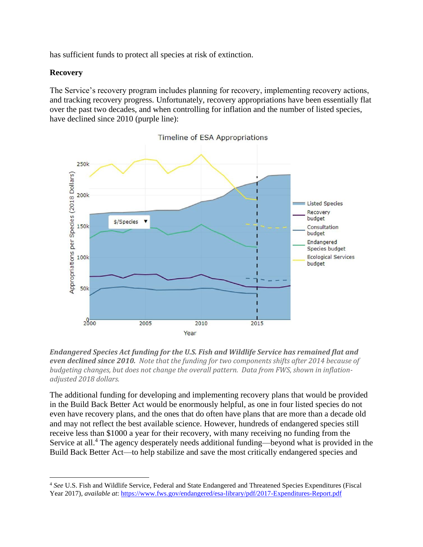has sufficient funds to protect all species at risk of extinction.

#### **Recovery**

The Service's recovery program includes planning for recovery, implementing recovery actions, and tracking recovery progress. Unfortunately, recovery appropriations have been essentially flat over the past two decades, and when controlling for inflation and the number of listed species, have declined since 2010 (purple line):



Timeline of ESA Appropriations

The additional funding for developing and implementing recovery plans that would be provided in the Build Back Better Act would be enormously helpful, as one in four listed species do not even have recovery plans, and the ones that do often have plans that are more than a decade old and may not reflect the best available science. However, hundreds of endangered species still receive less than \$1000 a year for their recovery, with many receiving no funding from the Service at all.<sup>4</sup> The agency desperately needs additional funding—beyond what is provided in the Build Back Better Act—to help stabilize and save the most critically endangered species and

*Endangered Species Act funding for the U.S. Fish and Wildlife Service has remained flat and even declined since 2010. Note that the funding for two components shifts after 2014 because of budgeting changes, but does not change the overall pattern. Data from FWS, shown in inflationadjusted 2018 dollars.*

<sup>4</sup> *See* U.S. Fish and Wildlife Service, Federal and State Endangered and Threatened Species Expenditures (Fiscal Year 2017), *available at*: <https://www.fws.gov/endangered/esa-library/pdf/2017-Expenditures-Report.pdf>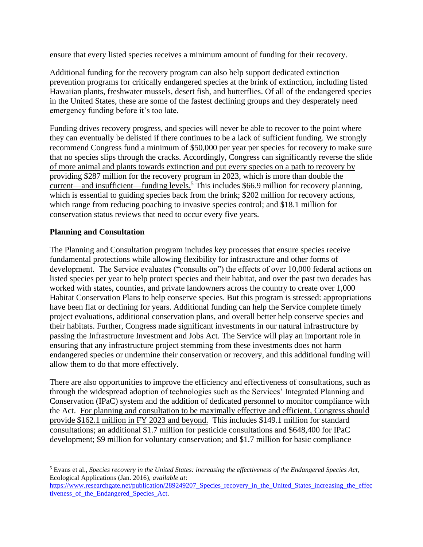ensure that every listed species receives a minimum amount of funding for their recovery.

Additional funding for the recovery program can also help support dedicated extinction prevention programs for critically endangered species at the brink of extinction, including listed Hawaiian plants, freshwater mussels, desert fish, and butterflies. Of all of the endangered species in the United States, these are some of the fastest declining groups and they desperately need emergency funding before it's too late.

Funding drives recovery progress, and species will never be able to recover to the point where they can eventually be delisted if there continues to be a lack of sufficient funding. We strongly recommend Congress fund a minimum of \$50,000 per year per species for recovery to make sure that no species slips through the cracks. Accordingly, Congress can significantly reverse the slide of more animal and plants towards extinction and put every species on a path to recovery by providing \$287 million for the recovery program in 2023, which is more than double the current—and insufficient—funding levels.<sup>5</sup> This includes \$66.9 million for recovery planning, which is essential to guiding species back from the brink; \$202 million for recovery actions, which range from reducing poaching to invasive species control; and \$18.1 million for conservation status reviews that need to occur every five years.

# **Planning and Consultation**

The Planning and Consultation program includes key processes that ensure species receive fundamental protections while allowing flexibility for infrastructure and other forms of development. The Service evaluates ("consults on") the effects of over 10,000 federal actions on listed species per year to help protect species and their habitat, and over the past two decades has worked with states, counties, and private landowners across the country to create over 1,000 Habitat Conservation Plans to help conserve species. But this program is stressed: appropriations have been flat or declining for years. Additional funding can help the Service complete timely project evaluations, additional conservation plans, and overall better help conserve species and their habitats. Further, Congress made significant investments in our natural infrastructure by passing the Infrastructure Investment and Jobs Act. The Service will play an important role in ensuring that any infrastructure project stemming from these investments does not harm endangered species or undermine their conservation or recovery, and this additional funding will allow them to do that more effectively.

There are also opportunities to improve the efficiency and effectiveness of consultations, such as through the widespread adoption of technologies such as the Services' Integrated Planning and Conservation (IPaC) system and the addition of dedicated personnel to monitor compliance with the Act. For planning and consultation to be maximally effective and efficient, Congress should provide \$162.1 million in FY 2023 and beyond. This includes \$149.1 million for standard consultations; an additional \$1.7 million for pesticide consultations and \$648,400 for IPaC development; \$9 million for voluntary conservation; and \$1.7 million for basic compliance

<sup>5</sup> Evans et al., *Species recovery in the United States: increasing the effectiveness of the Endangered Species Act*, Ecological Applications (Jan. 2016), *available at*:

[https://www.researchgate.net/publication/289249207\\_Species\\_recovery\\_in\\_the\\_United\\_States\\_increasing\\_the\\_effec](https://www.researchgate.net/publication/289249207_Species_recovery_in_the_United_States_increasing_the_effectiveness_of_the_Endangered_Species_Act) tiveness of the Endangered Species Act.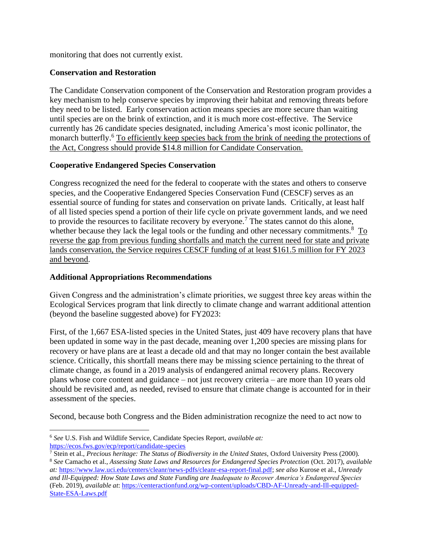monitoring that does not currently exist.

### **Conservation and Restoration**

The Candidate Conservation component of the Conservation and Restoration program provides a key mechanism to help conserve species by improving their habitat and removing threats before they need to be listed. Early conservation action means species are more secure than waiting until species are on the brink of extinction, and it is much more cost-effective. The Service currently has 26 candidate species designated, including America's most iconic pollinator, the monarch butterfly.<sup>6</sup> To efficiently keep species back from the brink of needing the protections of the Act, Congress should provide \$14.8 million for Candidate Conservation.

# **Cooperative Endangered Species Conservation**

Congress recognized the need for the federal to cooperate with the states and others to conserve species, and the Cooperative Endangered Species Conservation Fund (CESCF) serves as an essential source of funding for states and conservation on private lands. Critically, at least half of all listed species spend a portion of their life cycle on private government lands, and we need to provide the resources to facilitate recovery by everyone.<sup>7</sup> The states cannot do this alone, whether because they lack the legal tools or the funding and other necessary commitments.<sup>8</sup>  $\text{To}$ reverse the gap from previous funding shortfalls and match the current need for state and private lands conservation, the Service requires CESCF funding of at least \$161.5 million for FY 2023 and beyond.

### **Additional Appropriations Recommendations**

Given Congress and the administration's climate priorities, we suggest three key areas within the Ecological Services program that link directly to climate change and warrant additional attention (beyond the baseline suggested above) for FY2023:

First, of the 1,667 ESA-listed species in the United States, just 409 have recovery plans that have been updated in some way in the past decade, meaning over 1,200 species are missing plans for recovery or have plans are at least a decade old and that may no longer contain the best available science. Critically, this shortfall means there may be missing science pertaining to the threat of climate change, as found in a 2019 analysis of endangered animal recovery plans. Recovery plans whose core content and guidance – not just recovery criteria – are more than 10 years old should be revisited and, as needed, revised to ensure that climate change is accounted for in their assessment of the species.

Second, because both Congress and the Biden administration recognize the need to act now to

<sup>6</sup> *See* U.S. Fish and Wildlife Service, Candidate Species Report, *available at:* <https://ecos.fws.gov/ecp/report/candidate-species>

<sup>&</sup>lt;sup>7</sup> Stein et al., *Precious heritage: The Status of Biodiversity in the United States, Oxford University Press (2000).* <sup>8</sup> *See* Camacho et al., *Assessing State Laws and Resources for Endangered Species Protection* (Oct. 2017), *available at:* [https://www.law.uci.edu/centers/cleanr/news-pdfs/cleanr-esa-report-final.pdf;](https://www.law.uci.edu/centers/cleanr/news-pdfs/cleanr-esa-report-final.pdf) *see also* Kurose et al., *Unready and Ill-Equipped: How State Laws and State Funding are Inadequate to Recover America's Endangered Species* (Feb. 2019), *available at*[: https://centeractionfund.org/wp-content/uploads/CBD-AF-Unready-and-Ill-equipped-](https://centeractionfund.org/wp-content/uploads/CBD-AF-Unready-and-Ill-equipped-State-ESA-Laws.pdf)[State-ESA-Laws.pdf](https://centeractionfund.org/wp-content/uploads/CBD-AF-Unready-and-Ill-equipped-State-ESA-Laws.pdf)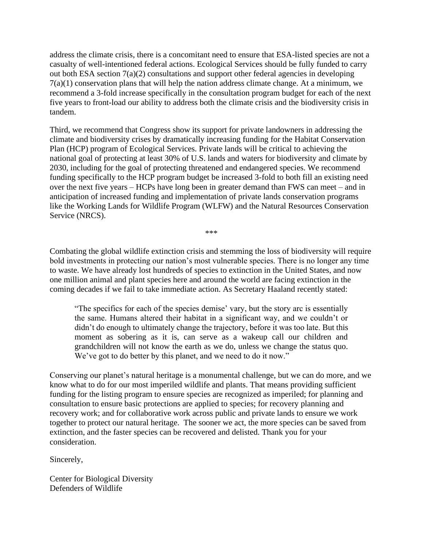address the climate crisis, there is a concomitant need to ensure that ESA-listed species are not a casualty of well-intentioned federal actions. Ecological Services should be fully funded to carry out both ESA section 7(a)(2) consultations and support other federal agencies in developing  $7(a)(1)$  conservation plans that will help the nation address climate change. At a minimum, we recommend a 3-fold increase specifically in the consultation program budget for each of the next five years to front-load our ability to address both the climate crisis and the biodiversity crisis in tandem.

Third, we recommend that Congress show its support for private landowners in addressing the climate and biodiversity crises by dramatically increasing funding for the Habitat Conservation Plan (HCP) program of Ecological Services. Private lands will be critical to achieving the national goal of protecting at least 30% of U.S. lands and waters for biodiversity and climate by 2030, including for the goal of protecting threatened and endangered species. We recommend funding specifically to the HCP program budget be increased 3-fold to both fill an existing need over the next five years – HCPs have long been in greater demand than FWS can meet – and in anticipation of increased funding and implementation of private lands conservation programs like the Working Lands for Wildlife Program (WLFW) and the Natural Resources Conservation Service (NRCS).

\*\*\*

Combating the global wildlife extinction crisis and stemming the loss of biodiversity will require bold investments in protecting our nation's most vulnerable species. There is no longer any time to waste. We have already lost hundreds of species to extinction in the United States, and now one million animal and plant species here and around the world are facing extinction in the coming decades if we fail to take immediate action. As Secretary Haaland recently stated:

"The specifics for each of the species demise' vary, but the story arc is essentially the same. Humans altered their habitat in a significant way, and we couldn't or didn't do enough to ultimately change the trajectory, before it was too late. But this moment as sobering as it is, can serve as a wakeup call our children and grandchildren will not know the earth as we do, unless we change the status quo. We've got to do better by this planet, and we need to do it now."

Conserving our planet's natural heritage is a monumental challenge, but we can do more, and we know what to do for our most imperiled wildlife and plants. That means providing sufficient funding for the listing program to ensure species are recognized as imperiled; for planning and consultation to ensure basic protections are applied to species; for recovery planning and recovery work; and for collaborative work across public and private lands to ensure we work together to protect our natural heritage. The sooner we act, the more species can be saved from extinction, and the faster species can be recovered and delisted. Thank you for your consideration.

Sincerely,

Center for Biological Diversity Defenders of Wildlife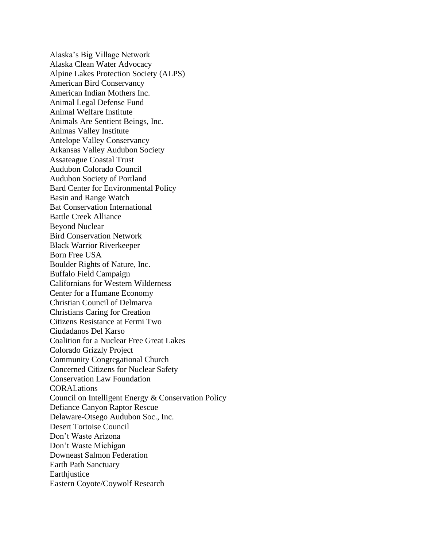Alaska's Big Village Network Alaska Clean Water Advocacy Alpine Lakes Protection Society (ALPS) American Bird Conservancy American Indian Mothers Inc. Animal Legal Defense Fund Animal Welfare Institute Animals Are Sentient Beings, Inc. Animas Valley Institute Antelope Valley Conservancy Arkansas Valley Audubon Society Assateague Coastal Trust Audubon Colorado Council Audubon Society of Portland Bard Center for Environmental Policy Basin and Range Watch Bat Conservation International Battle Creek Alliance Beyond Nuclear Bird Conservation Network Black Warrior Riverkeeper Born Free USA Boulder Rights of Nature, Inc. Buffalo Field Campaign Californians for Western Wilderness Center for a Humane Economy Christian Council of Delmarva Christians Caring for Creation Citizens Resistance at Fermi Two Ciudadanos Del Karso Coalition for a Nuclear Free Great Lakes Colorado Grizzly Project Community Congregational Church Concerned Citizens for Nuclear Safety Conservation Law Foundation **CORALations** Council on Intelligent Energy & Conservation Policy Defiance Canyon Raptor Rescue Delaware-Otsego Audubon Soc., Inc. Desert Tortoise Council Don't Waste Arizona Don't Waste Michigan Downeast Salmon Federation Earth Path Sanctuary Earthjustice Eastern Coyote/Coywolf Research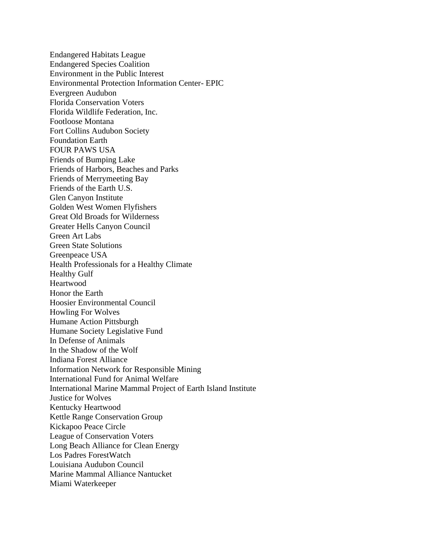Endangered Habitats League Endangered Species Coalition Environment in the Public Interest Environmental Protection Information Center- EPIC Evergreen Audubon Florida Conservation Voters Florida Wildlife Federation, Inc. Footloose Montana Fort Collins Audubon Society Foundation Earth FOUR PAWS USA Friends of Bumping Lake Friends of Harbors, Beaches and Parks Friends of Merrymeeting Bay Friends of the Earth U.S. Glen Canyon Institute Golden West Women Flyfishers Great Old Broads for Wilderness Greater Hells Canyon Council Green Art Labs Green State Solutions Greenpeace USA Health Professionals for a Healthy Climate Healthy Gulf Heartwood Honor the Earth Hoosier Environmental Council Howling For Wolves Humane Action Pittsburgh Humane Society Legislative Fund In Defense of Animals In the Shadow of the Wolf Indiana Forest Alliance Information Network for Responsible Mining International Fund for Animal Welfare International Marine Mammal Project of Earth Island Institute Justice for Wolves Kentucky Heartwood Kettle Range Conservation Group Kickapoo Peace Circle League of Conservation Voters Long Beach Alliance for Clean Energy Los Padres ForestWatch Louisiana Audubon Council Marine Mammal Alliance Nantucket Miami Waterkeeper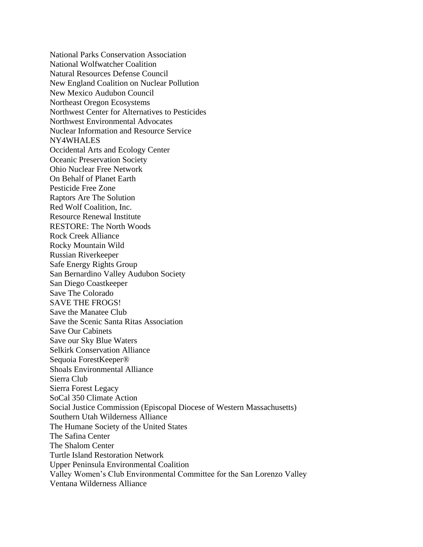National Parks Conservation Association National Wolfwatcher Coalition Natural Resources Defense Council New England Coalition on Nuclear Pollution New Mexico Audubon Council Northeast Oregon Ecosystems Northwest Center for Alternatives to Pesticides Northwest Environmental Advocates Nuclear Information and Resource Service NY4WHALES Occidental Arts and Ecology Center Oceanic Preservation Society Ohio Nuclear Free Network On Behalf of Planet Earth Pesticide Free Zone Raptors Are The Solution Red Wolf Coalition, Inc. Resource Renewal Institute RESTORE: The North Woods Rock Creek Alliance Rocky Mountain Wild Russian Riverkeeper Safe Energy Rights Group San Bernardino Valley Audubon Society San Diego Coastkeeper Save The Colorado SAVE THE FROGS! Save the Manatee Club Save the Scenic Santa Ritas Association Save Our Cabinets Save our Sky Blue Waters Selkirk Conservation Alliance Sequoia ForestKeeper® Shoals Environmental Alliance Sierra Club Sierra Forest Legacy SoCal 350 Climate Action Social Justice Commission (Episcopal Diocese of Western Massachusetts) Southern Utah Wilderness Alliance The Humane Society of the United States The Safina Center The Shalom Center Turtle Island Restoration Network Upper Peninsula Environmental Coalition Valley Women's Club Environmental Committee for the San Lorenzo Valley Ventana Wilderness Alliance